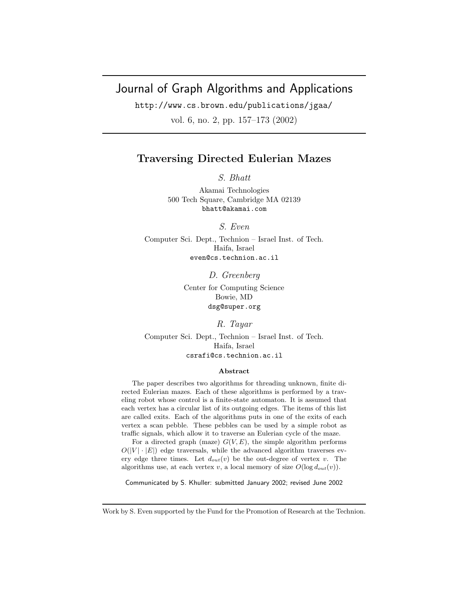# Journal of Graph Algorithms and Applications

http://www.cs.brown.edu/publications/jgaa/

vol. 6, no. 2, pp. 157–173 (2002)

## **Traversing Directed Eulerian Mazes**

S. Bhatt Akamai Technologies 500 Tech Square, Cambridge MA 02139 bhatt@akamai.com

Computer Sci. Dept., Technion – Israel Inst. of Tech. Haifa, Israel even@cs.technion.ac.il

Center for Computing Science Bowie, MD dsg@super.org

Computer Sci. Dept., Technion – Israel Inst. of Tech. Haifa, Israel csrafi@cs.technion.ac.il

#### **Abstract**

The paper describes two algorithms for threading unknown, finite directed Eulerian mazes. Each of these algorithms is performed by a traveling robot whose control is a finite-state automaton. It is assumed that each vertex has a circular list of its outgoing edges. The items of this list are called exits. Each of the algorithms puts in one of the exits of each vertex a scan pebble. These pebbles can be used by a simple robot as traffic signals, which allow it to traverse an Eulerian cycle of the maze.

For a directed graph (maze)  $G(V, E)$ , the simple algorithm performs  $O(|V| \cdot |E|)$  edge traversals, while the advanced algorithm traverses every edge three times. Let  $d_{out}(v)$  be the out-degree of vertex v. The algorithms use, at each vertex v, a local memory of size  $O(\log d_{out}(v))$ .

Communicated by S. Khuller: submitted January 2002; revised June 2002

Work by S. Even supported by the Fund for the Promotion of Research at the Technion.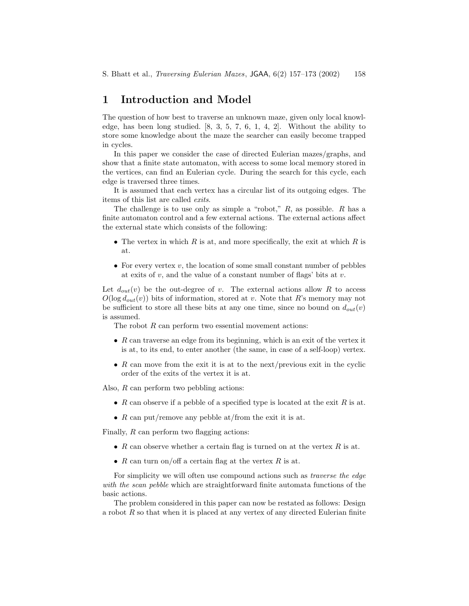### **1 Introduction and Model**

The question of how best to traverse an unknown maze, given only local knowledge, has been long studied. [8, 3, 5, 7, 6, 1, 4, 2]. Without the ability to store some knowledge about the maze the searcher can easily become trapped in cycles.

In this paper we consider the case of directed Eulerian mazes/graphs, and show that a finite state automaton, with access to some local memory stored in the vertices, can find an Eulerian cycle. During the search for this cycle, each edge is traversed three times.

It is assumed that each vertex has a circular list of its outgoing edges. The items of this list are called *exits*.

The challenge is to use only as simple a "robot,"  $R$ , as possible.  $R$  has a finite automaton control and a few external actions. The external actions affect the external state which consists of the following:

- The vertex in which R is at, and more specifically, the exit at which R is at.
- For every vertex  $v$ , the location of some small constant number of pebbles at exits of  $v$ , and the value of a constant number of flags' bits at  $v$ .

Let  $d_{out}(v)$  be the out-degree of v. The external actions allow R to access  $O(\log d_{out}(v))$  bits of information, stored at v. Note that R's memory may not be sufficient to store all these bits at any one time, since no bound on  $d_{out}(v)$ is assumed.

The robot  $R$  can perform two essential movement actions:

- $R$  can traverse an edge from its beginning, which is an exit of the vertex it is at, to its end, to enter another (the same, in case of a self-loop) vertex.
- R can move from the exit it is at to the next/previous exit in the cyclic order of the exits of the vertex it is at.

Also, R can perform two pebbling actions:

- R can observe if a pebble of a specified type is located at the exit R is at.
- R can put/remove any pebble at/from the exit it is at.

Finally, R can perform two flagging actions:

- R can observe whether a certain flag is turned on at the vertex  $R$  is at.
- R can turn on/off a certain flag at the vertex R is at.

For simplicity we will often use compound actions such as *traverse the edge with the scan pebble* which are straightforward finite automata functions of the basic actions.

The problem considered in this paper can now be restated as follows: Design a robot  $R$  so that when it is placed at any vertex of any directed Eulerian finite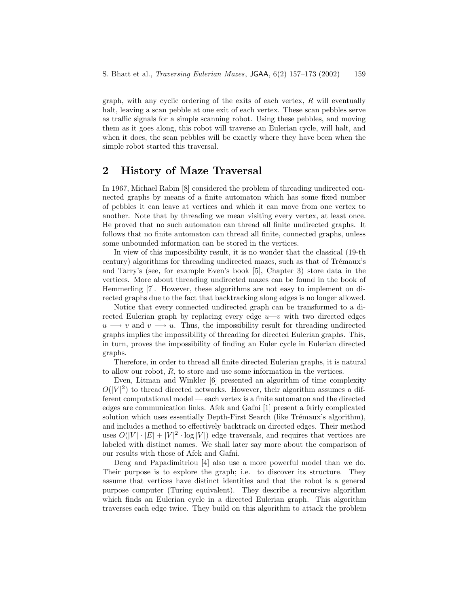graph, with any cyclic ordering of the exits of each vertex,  $R$  will eventually halt, leaving a scan pebble at one exit of each vertex. These scan pebbles serve as traffic signals for a simple scanning robot. Using these pebbles, and moving them as it goes along, this robot will traverse an Eulerian cycle, will halt, and when it does, the scan pebbles will be exactly where they have been when the simple robot started this traversal.

### **2 History of Maze Traversal**

In 1967, Michael Rabin [8] considered the problem of threading undirected connected graphs by means of a finite automaton which has some fixed number of pebbles it can leave at vertices and which it can move from one vertex to another. Note that by threading we mean visiting every vertex, at least once. He proved that no such automaton can thread all finite undirected graphs. It follows that no finite automaton can thread all finite, connected graphs, unless some unbounded information can be stored in the vertices.

In view of this impossibility result, it is no wonder that the classical (19-th century) algorithms for threading undirected mazes, such as that of Trémaux's and Tarry's (see, for example Even's book [5], Chapter 3) store data in the vertices. More about threading undirected mazes can be found in the book of Hemmerling [7]. However, these algorithms are not easy to implement on directed graphs due to the fact that backtracking along edges is no longer allowed.

Notice that every connected undirected graph can be transformed to a directed Eulerian graph by replacing every edge  $u-v$  with two directed edges  $u \rightarrow v$  and  $v \rightarrow u$ . Thus, the impossibility result for threading undirected graphs implies the impossibility of threading for directed Eulerian graphs. This, in turn, proves the impossibility of finding an Euler cycle in Eulerian directed graphs.

Therefore, in order to thread all finite directed Eulerian graphs, it is natural to allow our robot, R, to store and use some information in the vertices.

Even, Litman and Winkler [6] presented an algorithm of time complexity  $O(|V|^2)$  to thread directed networks. However, their algorithm assumes a different computational model — each vertex is a finite automaton and the directed edges are communication links. Afek and Gafni [1] present a fairly complicated solution which uses essentially Depth-First Search (like Trémaux's algorithm), and includes a method to effectively backtrack on directed edges. Their method uses  $O(|V| \cdot |E| + |V|^2 \cdot \log|V|)$  edge traversals, and requires that vertices are labeled with distinct names. We shall later say more about the comparison of our results with those of Afek and Gafni.

Deng and Papadimitriou [4] also use a more powerful model than we do. Their purpose is to explore the graph; i.e. to discover its structure. They assume that vertices have distinct identities and that the robot is a general purpose computer (Turing equivalent). They describe a recursive algorithm which finds an Eulerian cycle in a directed Eulerian graph. This algorithm traverses each edge twice. They build on this algorithm to attack the problem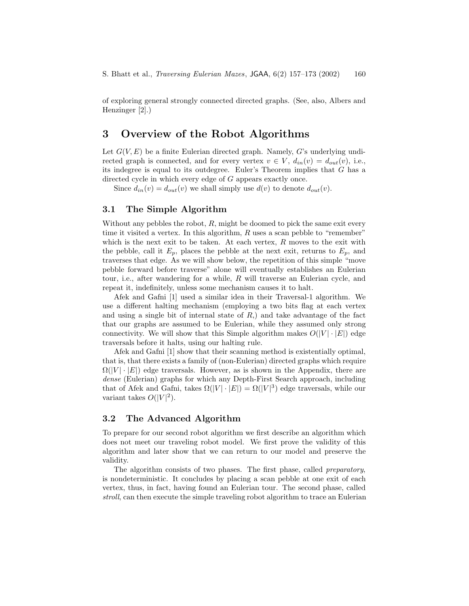of exploring general strongly connected directed graphs. (See, also, Albers and Henzinger [2].)

### **3 Overview of the Robot Algorithms**

Let  $G(V, E)$  be a finite Eulerian directed graph. Namely, G's underlying undirected graph is connected, and for every vertex  $v \in V$ ,  $d_{in}(v) = d_{out}(v)$ , i.e., its indegree is equal to its outdegree. Euler's Theorem implies that G has a directed cycle in which every edge of G appears exactly once.

Since  $d_{in}(v) = d_{out}(v)$  we shall simply use  $d(v)$  to denote  $d_{out}(v)$ .

### **3.1 The Simple Algorithm**

Without any pebbles the robot, R, might be doomed to pick the same exit every time it visited a vertex. In this algorithm,  $R$  uses a scan pebble to "remember" which is the next exit to be taken. At each vertex,  $R$  moves to the exit with the pebble, call it  $E_p$ , places the pebble at the next exit, returns to  $E_p$ , and traverses that edge. As we will show below, the repetition of this simple "move pebble forward before traverse" alone will eventually establishes an Eulerian tour, i.e., after wandering for a while, R will traverse an Eulerian cycle, and repeat it, indefinitely, unless some mechanism causes it to halt.

Afek and Gafni [1] used a similar idea in their Traversal-1 algorithm. We use a different halting mechanism (employing a two bits flag at each vertex and using a single bit of internal state of  $R$ ,) and take advantage of the fact that our graphs are assumed to be Eulerian, while they assumed only strong connectivity. We will show that this Simple algorithm makes  $O(|V| \cdot |E|)$  edge traversals before it halts, using our halting rule.

Afek and Gafni [1] show that their scanning method is existentially optimal, that is, that there exists a family of (non-Eulerian) directed graphs which require  $\Omega(|V| \cdot |E|)$  edge traversals. However, as is shown in the Appendix, there are *dense* (Eulerian) graphs for which any Depth-First Search approach, including that of Afek and Gafni, takes  $\Omega(|V| \cdot |E|) = \Omega(|V|^3)$  edge traversals, while our variant takes  $O(|V|^2)$ .

### **3.2 The Advanced Algorithm**

To prepare for our second robot algorithm we first describe an algorithm which does not meet our traveling robot model. We first prove the validity of this algorithm and later show that we can return to our model and preserve the validity.

The algorithm consists of two phases. The first phase, called *preparatory*, is nondeterministic. It concludes by placing a scan pebble at one exit of each vertex, thus, in fact, having found an Eulerian tour. The second phase, called *stroll*, can then execute the simple traveling robot algorithm to trace an Eulerian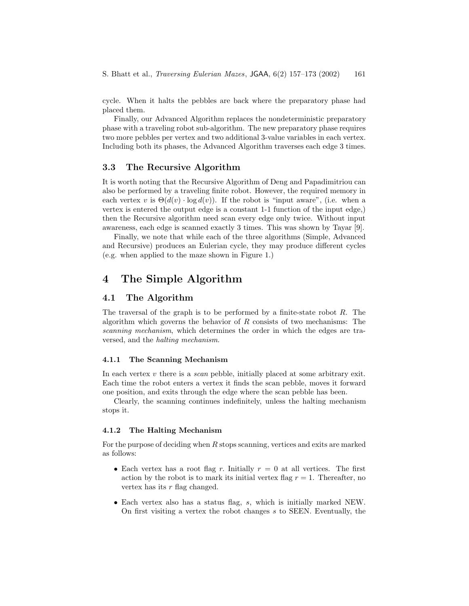cycle. When it halts the pebbles are back where the preparatory phase had placed them.

Finally, our Advanced Algorithm replaces the nondeterministic preparatory phase with a traveling robot sub-algorithm. The new preparatory phase requires two more pebbles per vertex and two additional 3-value variables in each vertex. Including both its phases, the Advanced Algorithm traverses each edge 3 times.

### **3.3 The Recursive Algorithm**

It is worth noting that the Recursive Algorithm of Deng and Papadimitriou can also be performed by a traveling finite robot. However, the required memory in each vertex v is  $\Theta(d(v) \cdot \log d(v))$ . If the robot is "input aware", (i.e. when a vertex is entered the output edge is a constant 1-1 function of the input edge,) then the Recursive algorithm need scan every edge only twice. Without input awareness, each edge is scanned exactly 3 times. This was shown by Tayar [9].

Finally, we note that while each of the three algorithms (Simple, Advanced and Recursive) produces an Eulerian cycle, they may produce different cycles (e.g. when applied to the maze shown in Figure 1.)

### **4 The Simple Algorithm**

### **4.1 The Algorithm**

The traversal of the graph is to be performed by a finite-state robot  $R$ . The algorithm which governs the behavior of  $R$  consists of two mechanisms: The *scanning mechanism*, which determines the order in which the edges are traversed, and the *halting mechanism*.

#### **4.1.1 The Scanning Mechanism**

In each vertex v there is a *scan* pebble, initially placed at some arbitrary exit. Each time the robot enters a vertex it finds the scan pebble, moves it forward one position, and exits through the edge where the scan pebble has been.

Clearly, the scanning continues indefinitely, unless the halting mechanism stops it.

#### **4.1.2 The Halting Mechanism**

For the purpose of deciding when  $R$  stops scanning, vertices and exits are marked as follows:

- Each vertex has a root flag r. Initially  $r = 0$  at all vertices. The first action by the robot is to mark its initial vertex flag  $r = 1$ . Thereafter, no vertex has its r flag changed.
- Each vertex also has a status flag, s, which is initially marked NEW. On first visiting a vertex the robot changes s to SEEN. Eventually, the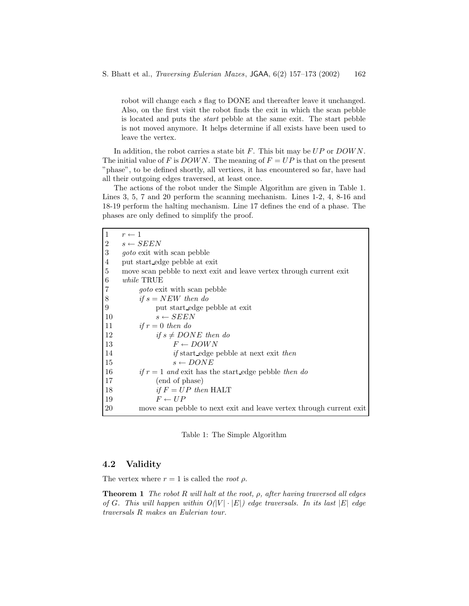robot will change each s flag to DONE and thereafter leave it unchanged. Also, on the first visit the robot finds the exit in which the scan pebble is located and puts the *start* pebble at the same exit. The start pebble is not moved anymore. It helps determine if all exists have been used to leave the vertex.

In addition, the robot carries a state bit  $F$ . This bit may be  $UP$  or  $DOWN$ . The initial value of F is DOWN. The meaning of  $F = UP$  is that on the present "phase", to be defined shortly, all vertices, it has encountered so far, have had all their outgoing edges traversed, at least once.

The actions of the robot under the Simple Algorithm are given in Table 1. Lines 3, 5, 7 and 20 perform the scanning mechanism. Lines 1-2, 4, 8-16 and 18-19 perform the halting mechanism. Line 17 defines the end of a phase. The phases are only defined to simplify the proof.

| $\mathbf{1}$     | $r \leftarrow 1$                                                    |
|------------------|---------------------------------------------------------------------|
| $\boldsymbol{2}$ | $s \leftarrow SEEN$                                                 |
| 3                | <i>goto</i> exit with scan pebble                                   |
| $\overline{4}$   | put start edge pebble at exit                                       |
| 5                | move scan pebble to next exit and leave vertex through current exit |
| 6                | <i>while</i> TRUE                                                   |
| $\overline{7}$   | <i>goto</i> exit with scan pebble                                   |
| 8                | if $s = NEW$ then do                                                |
| 9                | put start_edge pebble at exit                                       |
| 10               | $s \leftarrow SEEN$                                                 |
| 11               | if $r = 0$ then do                                                  |
| 12               | if $s \neq DONE$ then do                                            |
| 13               | $F \leftarrow DOWN$                                                 |
| 14               | <i>if</i> start edge pebble at next exit then                       |
| 15               | $s \leftarrow DONE$                                                 |
| 16               | <i>if</i> $r = 1$ <i>and</i> exit has the start edge pebble then do |
| 17               | (end of phase)                                                      |
| 18               | if $F = UP$ then HALT                                               |
| 19               | $F \leftarrow UP$                                                   |
| 20               | move scan pebble to next exit and leave vertex through current exit |

Table 1: The Simple Algorithm

### **4.2 Validity**

The vertex where  $r = 1$  is called the *root*  $\rho$ .

**Theorem 1** *The robot* R *will halt at the root,* ρ*, after having traversed all edges of* G. This will happen within  $O(|V| \cdot |E|)$  edge traversals. In its last  $|E|$  edge *traversals* R *makes an Eulerian tour.*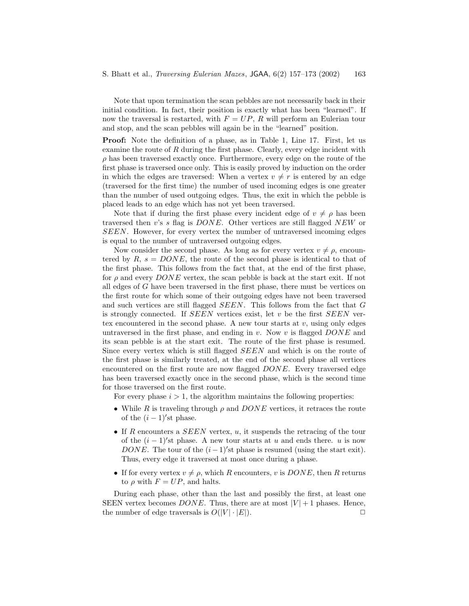Note that upon termination the scan pebbles are not necessarily back in their initial condition. In fact, their position is exactly what has been "learned". If now the traversal is restarted, with  $F = UP$ , R will perform an Eulerian tour and stop, and the scan pebbles will again be in the "learned" position.

**Proof:** Note the definition of a phase, as in Table 1, Line 17. First, let us examine the route of  $R$  during the first phase. Clearly, every edge incident with  $\rho$  has been traversed exactly once. Furthermore, every edge on the route of the first phase is traversed once only. This is easily proved by induction on the order in which the edges are traversed: When a vertex  $v \neq r$  is entered by an edge (traversed for the first time) the number of used incoming edges is one greater than the number of used outgoing edges. Thus, the exit in which the pebble is placed leads to an edge which has not yet been traversed.

Note that if during the first phase every incident edge of  $v \neq \rho$  has been traversed then v's s flag is DONE. Other vertices are still flagged NEW or SEEN. However, for every vertex the number of untraversed incoming edges is equal to the number of untraversed outgoing edges.

Now consider the second phase. As long as for every vertex  $v \neq \rho$ , encountered by  $R$ ,  $s = DONE$ , the route of the second phase is identical to that of the first phase. This follows from the fact that, at the end of the first phase, for  $\rho$  and every  $DONE$  vertex, the scan pebble is back at the start exit. If not all edges of G have been traversed in the first phase, there must be vertices on the first route for which some of their outgoing edges have not been traversed and such vertices are still flagged SEEN. This follows from the fact that G is strongly connected. If  $SEEN$  vertices exist, let v be the first  $SEEN$  vertex encountered in the second phase. A new tour starts at  $v$ , using only edges untraversed in the first phase, and ending in  $v$ . Now  $v$  is flagged  $DONE$  and its scan pebble is at the start exit. The route of the first phase is resumed. Since every vertex which is still flagged SEEN and which is on the route of the first phase is similarly treated, at the end of the second phase all vertices encountered on the first route are now flagged DONE. Every traversed edge has been traversed exactly once in the second phase, which is the second time for those traversed on the first route.

For every phase  $i > 1$ , the algorithm maintains the following properties:

- While R is traveling through  $\rho$  and  $DONE$  vertices, it retraces the route of the  $(i - 1)$ 'st phase.
- If R encounters a  $SEEN$  vertex, u, it suspends the retracing of the tour of the  $(i - 1)$ 'st phase. A new tour starts at u and ends there. u is now DONE. The tour of the  $(i-1)$ 'st phase is resumed (using the start exit). Thus, every edge it traversed at most once during a phase.
- If for every vertex  $v \neq \rho$ , which R encounters, v is DONE, then R returns to  $\rho$  with  $F = UP$ , and halts.

During each phase, other than the last and possibly the first, at least one SEEN vertex becomes  $DONE$ . Thus, there are at most  $|V|+1$  phases. Hence, the number of edge traversals is  $O(|V| \cdot |E|)$ .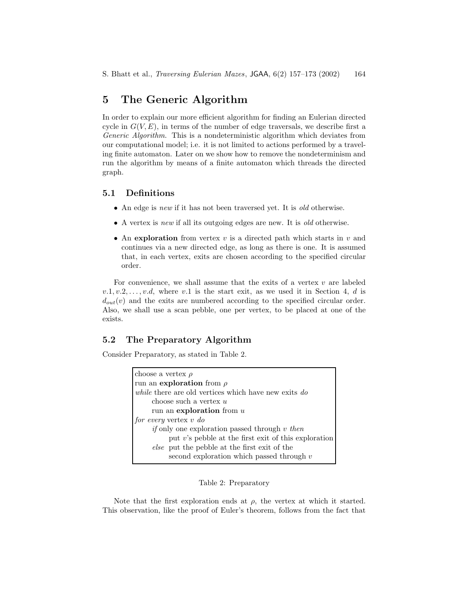### **5 The Generic Algorithm**

In order to explain our more efficient algorithm for finding an Eulerian directed cycle in  $G(V, E)$ , in terms of the number of edge traversals, we describe first a *Generic Algorithm*. This is a nondeterministic algorithm which deviates from our computational model; i.e. it is not limited to actions performed by a traveling finite automaton. Later on we show how to remove the nondeterminism and run the algorithm by means of a finite automaton which threads the directed graph.

### **5.1 Definitions**

- An edge is *new* if it has not been traversed yet. It is *old* otherwise.
- A vertex is *new* if all its outgoing edges are new. It is *old* otherwise.
- An **exploration** from vertex v is a directed path which starts in v and continues via a new directed edge, as long as there is one. It is assumed that, in each vertex, exits are chosen according to the specified circular order.

For convenience, we shall assume that the exits of a vertex  $v$  are labeled  $v.1, v.2, \ldots, v.d.$  where v.1 is the start exit, as we used it in Section 4, d is  $d_{out}(v)$  and the exits are numbered according to the specified circular order. Also, we shall use a scan pebble, one per vertex, to be placed at one of the exists.

### **5.2 The Preparatory Algorithm**

Consider Preparatory, as stated in Table 2.

| choose a vertex $\rho$                                  |  |  |  |
|---------------------------------------------------------|--|--|--|
| run an exploration from $\rho$                          |  |  |  |
| while there are old vertices which have new exits do    |  |  |  |
| choose such a vertex $u$                                |  |  |  |
| run an exploration from $u$                             |  |  |  |
| for every vertex $v$ do                                 |  |  |  |
| <i>if</i> only one exploration passed through $v$ then  |  |  |  |
| put $v$ 's pebble at the first exit of this exploration |  |  |  |
| <i>else</i> put the pebble at the first exit of the     |  |  |  |
| second exploration which passed through $v$             |  |  |  |

Table 2: Preparatory

Note that the first exploration ends at  $\rho$ , the vertex at which it started. This observation, like the proof of Euler's theorem, follows from the fact that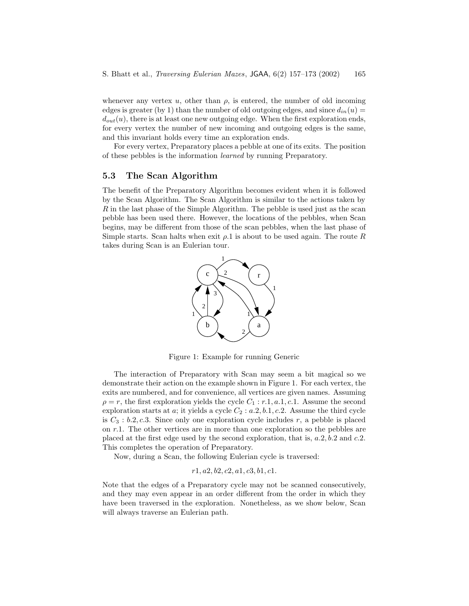whenever any vertex  $u$ , other than  $\rho$ , is entered, the number of old incoming edges is greater (by 1) than the number of old outgoing edges, and since  $d_{in}(u)$  =  $d_{out}(u)$ , there is at least one new outgoing edge. When the first exploration ends, for every vertex the number of new incoming and outgoing edges is the same, and this invariant holds every time an exploration ends.

For every vertex, Preparatory places a pebble at one of its exits. The position of these pebbles is the information *learned* by running Preparatory.

#### **5.3 The Scan Algorithm**

The benefit of the Preparatory Algorithm becomes evident when it is followed by the Scan Algorithm. The Scan Algorithm is similar to the actions taken by  $R$  in the last phase of the Simple Algorithm. The pebble is used just as the scan pebble has been used there. However, the locations of the pebbles, when Scan begins, may be different from those of the scan pebbles, when the last phase of Simple starts. Scan halts when exit  $\rho$ .1 is about to be used again. The route R takes during Scan is an Eulerian tour.



Figure 1: Example for running Generic

The interaction of Preparatory with Scan may seem a bit magical so we demonstrate their action on the example shown in Figure 1. For each vertex, the exits are numbered, and for convenience, all vertices are given names. Assuming  $\rho = r$ , the first exploration yields the cycle  $C_1 : r.1, a.1, c.1$ . Assume the second exploration starts at a; it yields a cycle  $C_2 : a.2, b.1, c.2$ . Assume the third cycle is  $C_3 : b.2, c.3$ . Since only one exploration cycle includes r, a pebble is placed on r.1. The other vertices are in more than one exploration so the pebbles are placed at the first edge used by the second exploration, that is,  $a.2, b.2$  and  $c.2$ . This completes the operation of Preparatory.

Now, during a Scan, the following Eulerian cycle is traversed:

$$
r1, a2, b2, c2, a1, c3, b1, c1.
$$

Note that the edges of a Preparatory cycle may not be scanned consecutively, and they may even appear in an order different from the order in which they have been traversed in the exploration. Nonetheless, as we show below, Scan will always traverse an Eulerian path.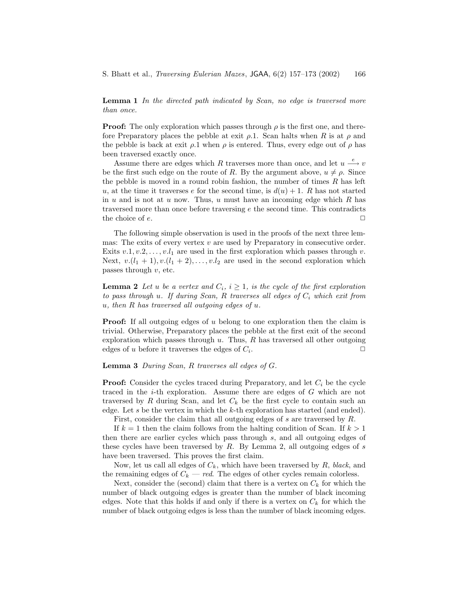**Lemma 1** *In the directed path indicated by Scan, no edge is traversed more than once.*

**Proof:** The only exploration which passes through  $\rho$  is the first one, and therefore Preparatory places the pebble at exit  $\rho$ . Scan halts when R is at  $\rho$  and the pebble is back at exit  $\rho$ .1 when  $\rho$  is entered. Thus, every edge out of  $\rho$  has been traversed exactly once.

Assume there are edges which R traverses more than once, and let  $u \stackrel{e}{\longrightarrow} v$ be the first such edge on the route of R. By the argument above,  $u \neq \rho$ . Since the pebble is moved in a round robin fashion, the number of times  $R$  has left u, at the time it traverses e for the second time, is  $d(u) + 1$ . R has not started in u and is not at u now. Thus, u must have an incoming edge which R has traversed more than once before traversing  $e$  the second time. This contradicts the choice of  $e$ .

The following simple observation is used in the proofs of the next three lemmas: The exits of every vertex  $v$  are used by Preparatory in consecutive order. Exits  $v.1, v.2, \ldots, v.l_1$  are used in the first exploration which passes through v. Next,  $v.(l_1 + 1), v.(l_1 + 2), \ldots, v.l_2$  are used in the second exploration which passes through  $v$ , etc.

**Lemma 2** Let u be a vertex and  $C_i$ ,  $i \geq 1$ , is the cycle of the first exploration *to pass through* u*. If during Scan,* R *traverses all edges of* C<sup>i</sup> *which exit from* u*, then* R *has traversed all outgoing edges of* u*.*

**Proof:** If all outgoing edges of u belong to one exploration then the claim is trivial. Otherwise, Preparatory places the pebble at the first exit of the second exploration which passes through  $u$ . Thus,  $R$  has traversed all other outgoing edges of u before it traverses the edges of  $C_i$ .

#### **Lemma 3** *During Scan,* R *traverses all edges of* G*.*

**Proof:** Consider the cycles traced during Preparatory, and let  $C_i$  be the cycle traced in the i-th exploration. Assume there are edges of G which are not traversed by R during Scan, and let  $C_k$  be the first cycle to contain such an edge. Let  $s$  be the vertex in which the  $k$ -th exploration has started (and ended).

First, consider the claim that all outgoing edges of s are traversed by R.

If  $k = 1$  then the claim follows from the halting condition of Scan. If  $k > 1$ then there are earlier cycles which pass through s, and all outgoing edges of these cycles have been traversed by  $R$ . By Lemma 2, all outgoing edges of s have been traversed. This proves the first claim.

Now, let us call all edges of  $C_k$ , which have been traversed by  $R$ , *black*, and the remaining edges of  $C_k$  — *red*. The edges of other cycles remain colorless.

Next, consider the (second) claim that there is a vertex on  $C_k$  for which the number of black outgoing edges is greater than the number of black incoming edges. Note that this holds if and only if there is a vertex on  $C_k$  for which the number of black outgoing edges is less than the number of black incoming edges.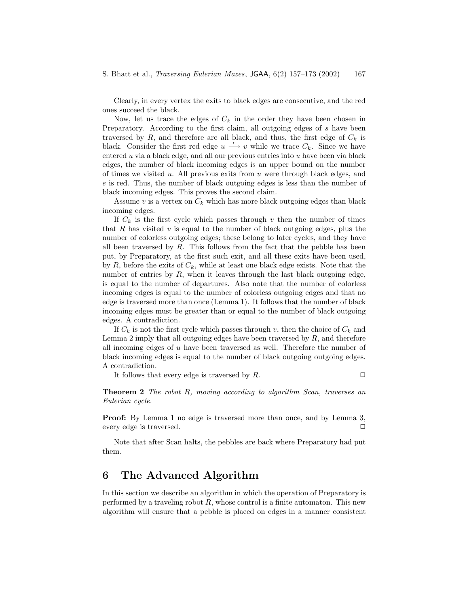Clearly, in every vertex the exits to black edges are consecutive, and the red ones succeed the black.

Now, let us trace the edges of  $C_k$  in the order they have been chosen in Preparatory. According to the first claim, all outgoing edges of s have been traversed by R, and therefore are all black, and thus, the first edge of  $C_k$  is black. Consider the first red edge  $u \stackrel{e}{\longrightarrow} v$  while we trace  $C_k$ . Since we have entered  $u$  via a black edge, and all our previous entries into  $u$  have been via black edges, the number of black incoming edges is an upper bound on the number of times we visited u. All previous exits from u were through black edges, and e is red. Thus, the number of black outgoing edges is less than the number of black incoming edges. This proves the second claim.

Assume v is a vertex on  $C_k$  which has more black outgoing edges than black incoming edges.

If  $C_k$  is the first cycle which passes through v then the number of times that  $R$  has visited  $v$  is equal to the number of black outgoing edges, plus the number of colorless outgoing edges; these belong to later cycles, and they have all been traversed by  $R$ . This follows from the fact that the pebble has been put, by Preparatory, at the first such exit, and all these exits have been used, by R, before the exits of  $C_k$ , while at least one black edge exists. Note that the number of entries by  $R$ , when it leaves through the last black outgoing edge, is equal to the number of departures. Also note that the number of colorless incoming edges is equal to the number of colorless outgoing edges and that no edge is traversed more than once (Lemma 1). It follows that the number of black incoming edges must be greater than or equal to the number of black outgoing edges. A contradiction.

If  $C_k$  is not the first cycle which passes through v, then the choice of  $C_k$  and Lemma 2 imply that all outgoing edges have been traversed by  $R$ , and therefore all incoming edges of  $u$  have been traversed as well. Therefore the number of black incoming edges is equal to the number of black outgoing outgoing edges. A contradiction.

It follows that every edge is traversed by  $R$ .  $\Box$ 

**Theorem 2** *The robot* R*, moving according to algorithm Scan, traverses an Eulerian cycle.*

**Proof:** By Lemma 1 no edge is traversed more than once, and by Lemma 3, every edge is traversed.

Note that after Scan halts, the pebbles are back where Preparatory had put them.

### **6 The Advanced Algorithm**

In this section we describe an algorithm in which the operation of Preparatory is performed by a traveling robot  $R$ , whose control is a finite automaton. This new algorithm will ensure that a pebble is placed on edges in a manner consistent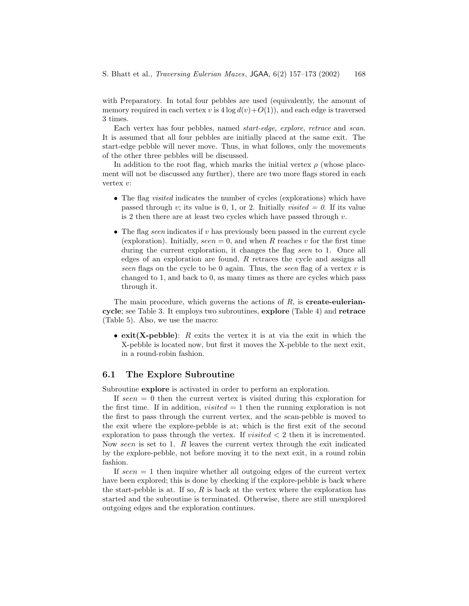with Preparatory. In total four pebbles are used (equivalently, the amount of memory required in each vertex v is  $4 \log d(v) + O(1)$ , and each edge is traversed 3 times.

Each vertex has four pebbles, named *start-edge*, *explore*, *retrace* and *scan*. It is assumed that all four pebbles are initially placed at the same exit. The start-edge pebble will never move. Thus, in what follows, only the movements of the other three pebbles will be discussed.

In addition to the root flag, which marks the initial vertex  $\rho$  (whose placement will not be discussed any further), there are two more flags stored in each vertex *v*:

- The flag *visited* indicates the number of cycles (explorations) which have passed through v; its value is 0, 1, or 2. Initially *visited = 0*. If its value is 2 then there are at least two cycles which have passed through  $v$ .
- The flag *seen* indicates if v has previously been passed in the current cycle (exploration). Initially, seen = 0, and when R reaches v for the first time during the current exploration, it changes the flag *seen* to 1. Once all edges of an exploration are found, R retraces the cycle and assigns all *seen* flags on the cycle to be 0 again. Thus, the *seen* flag of a vertex v is changed to 1, and back to 0, as many times as there are cycles which pass through it.

The main procedure, which governs the actions of R, is **create-euleriancycle**; see Table 3. It employs two subroutines, **explore** (Table 4) and **retrace** (Table 5). Also, we use the macro:

• **exit(X-pebble)**: R exits the vertex it is at via the exit in which the X-pebble is located now, but first it moves the X-pebble to the next exit, in a round-robin fashion.

### **6.1 The Explore Subroutine**

Subroutine **explore** is activated in order to perform an exploration.

If seen  $= 0$  then the current vertex is visited during this exploration for the first time. If in addition, *visited*  $= 1$  then the running exploration is not the first to pass through the current vertex, and the scan-pebble is moved to the exit where the explore-pebble is at; which is the first exit of the second exploration to pass through the vertex. If  $visited < 2$  then it is incremented. Now seen is set to 1. R leaves the current vertex through the exit indicated by the explore-pebble, not before moving it to the next exit, in a round robin fashion.

If  $seen = 1$  then inquire whether all outgoing edges of the current vertex have been explored; this is done by checking if the explore-pebble is back where the start-pebble is at. If so,  $R$  is back at the vertex where the exploration has started and the subroutine is terminated. Otherwise, there are still unexplored outgoing edges and the exploration continues.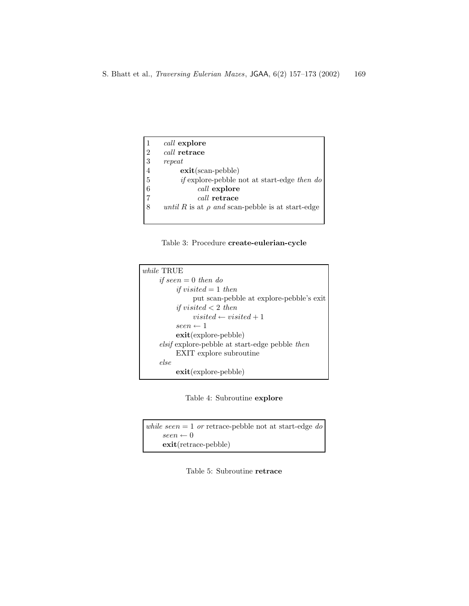|                  | <i>call</i> explore                                   |
|------------------|-------------------------------------------------------|
| $\overline{2}$   | call retrace                                          |
| 3                | repeat                                                |
| 4                | $exit(scan-pebble)$                                   |
| $\overline{5}$   | <i>if</i> explore-pebble not at start-edge then do    |
| $\boldsymbol{6}$ | call explore                                          |
| 7                | call retrace                                          |
| 8                | until R is at $\rho$ and scan-pebble is at start-edge |
|                  |                                                       |

Table 3: Procedure **create-eulerian-cycle**

| <i>while</i> TRUE                                     |  |  |
|-------------------------------------------------------|--|--|
| if seen $= 0$ then do                                 |  |  |
| if visited $= 1$ then                                 |  |  |
| put scan-pebble at explore-pebble's exit              |  |  |
| <i>if visited</i> $\lt 2$ <i>then</i>                 |  |  |
| visited $\leftarrow$ visited + 1                      |  |  |
| $seen \leftarrow 1$                                   |  |  |
| $exit(explore-pebble)$                                |  |  |
| <i>elsif</i> explore-pebble at start-edge pebble then |  |  |
| EXIT explore subroutine                               |  |  |
| else                                                  |  |  |
| $exit(explore-pebble)$                                |  |  |

Table 4: Subroutine **explore**

|                     | <i>while seen</i> $= 1$ <i>or</i> retrace-pebble not at start-edge <i>do</i> |  |
|---------------------|------------------------------------------------------------------------------|--|
| $seen \leftarrow 0$ |                                                                              |  |
|                     | $exit(retrace-pebble)$                                                       |  |

Table 5: Subroutine **retrace**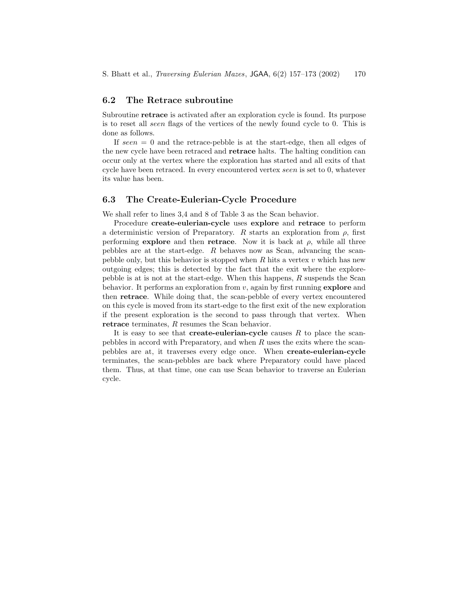### **6.2 The Retrace subroutine**

Subroutine **retrace** is activated after an exploration cycle is found. Its purpose is to reset all seen flags of the vertices of the newly found cycle to 0. This is done as follows.

If  $seen = 0$  and the retrace-pebble is at the start-edge, then all edges of the new cycle have been retraced and **retrace** halts. The halting condition can occur only at the vertex where the exploration has started and all exits of that cycle have been retraced. In every encountered vertex seen is set to 0, whatever its value has been.

### **6.3 The Create-Eulerian-Cycle Procedure**

We shall refer to lines 3,4 and 8 of Table 3 as the Scan behavior.

Procedure **create-eulerian-cycle** uses **explore** and **retrace** to perform a deterministic version of Preparatory. R starts an exploration from  $\rho$ , first performing **explore** and then **retrace**. Now it is back at  $\rho$ , while all three pebbles are at the start-edge. R behaves now as Scan, advancing the scanpebble only, but this behavior is stopped when  $R$  hits a vertex  $v$  which has new outgoing edges; this is detected by the fact that the exit where the explorepebble is at is not at the start-edge. When this happens,  $R$  suspends the Scan behavior. It performs an exploration from v, again by first running **explore** and then **retrace**. While doing that, the scan-pebble of every vertex encountered on this cycle is moved from its start-edge to the first exit of the new exploration if the present exploration is the second to pass through that vertex. When **retrace** terminates, R resumes the Scan behavior.

It is easy to see that **create-eulerian-cycle** causes R to place the scanpebbles in accord with Preparatory, and when R uses the exits where the scanpebbles are at, it traverses every edge once. When **create-eulerian-cycle** terminates, the scan-pebbles are back where Preparatory could have placed them. Thus, at that time, one can use Scan behavior to traverse an Eulerian cycle.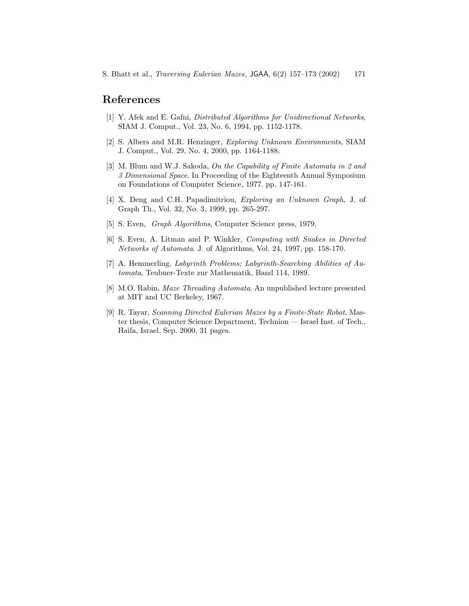### **References**

- [1] Y. Afek and E. Gafni, *Distributed Algorithms for Unidirectional Networks*, SIAM J. Comput., Vol. 23, No. 6, 1994, pp. 1152-1178.
- [2] S. Albers and M.R. Henzinger, *Exploring Unknown Environments*, SIAM J. Comput., Vol. 29, No. 4, 2000, pp. 1164-1188.
- [3] M. Blum and W.J. Sakoda, *On the Capability of Finite Automata in 2 and 3 Dimensional Space*. In Proceeding of the Eighteenth Annual Symposium on Foundations of Computer Science, 1977. pp. 147-161.
- [4] X. Deng and C.H. Papadimitriou, *Exploring an Unknown Graph*, J. of Graph Th., Vol. 32, No. 3, 1999, pp. 265-297.
- [5] S. Even, *Graph Algorithms*, Computer Science press, 1979.
- [6] S. Even, A. Litman and P. Winkler, *Computing with Snakes in Directed Networks of Automata*. J. of Algorithms, Vol. 24, 1997, pp. 158-170.
- [7] A. Hemmerling, *Labyrinth Problems; Labyrinth-Searching Abilities of Automata*, Teubner-Texte zur Mathematik, Band 114, 1989.
- [8] M.O. Rabin, *Maze Threading Automata*. An unpublished lecture presented at MIT and UC Berkeley, 1967.
- [9] R. Tayar, *Scanning Directed Eulerian Mazes by a Finite-State Robot*, Master thesis, Computer Science Department, Technion — Israel Inst. of Tech., Haifa, Israel. Sep. 2000, 31 pages.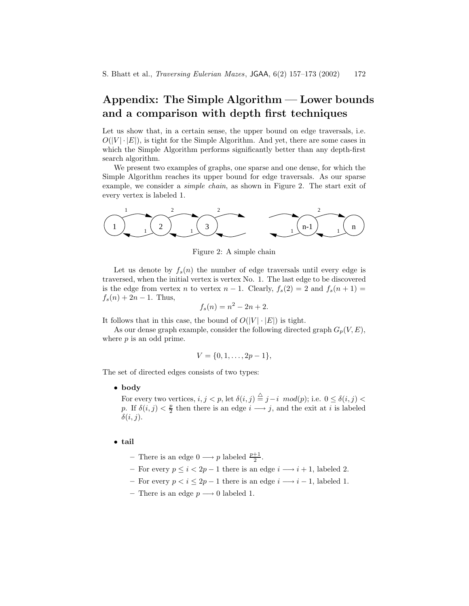# **Appendix: The Simple Algorithm — Lower bounds and a comparison with depth first techniques**

Let us show that, in a certain sense, the upper bound on edge traversals, i.e.  $O(|V| \cdot |E|)$ , is tight for the Simple Algorithm. And yet, there are some cases in which the Simple Algorithm performs significantly better than any depth-first search algorithm.

We present two examples of graphs, one sparse and one dense, for which the Simple Algorithm reaches its upper bound for edge traversals. As our sparse example, we consider a *simple chain*, as shown in Figure 2. The start exit of every vertex is labeled 1.



Figure 2: A simple chain

Let us denote by  $f_s(n)$  the number of edge traversals until every edge is traversed, when the initial vertex is vertex No. 1. The last edge to be discovered is the edge from vertex n to vertex  $n-1$ . Clearly,  $f_s(2) = 2$  and  $f_s(n+1) =$  $f_s(n)+2n-1$ . Thus,

$$
f_s(n) = n^2 - 2n + 2.
$$

It follows that in this case, the bound of  $O(|V| \cdot |E|)$  is tight.

As our dense graph example, consider the following directed graph  $G_p(V, E)$ , where *p* is an odd prime.

$$
V = \{0, 1, \ldots, 2p - 1\},\
$$

The set of directed edges consists of two types:

#### • **body**

For every two vertices,  $i, j < p$ , let  $\delta(i, j) \stackrel{\triangle}{=} j - i \mod(p)$ ; i.e.  $0 \leq \delta(i, j) <$ p. If  $\delta(i, j) < \frac{p}{2}$  then there is an edge  $i \longrightarrow j$ , and the exit at i is labeled  $\delta(i, j)$ .

#### • **tail**

- **−** There is an edge  $0 \rightarrow p$  labeled  $\frac{p+1}{2}$ .
- For every  $p \leq i < 2p 1$  there is an edge  $i \longrightarrow i + 1$ , labeled 2.
- For every  $p < i \leq 2p 1$  there is an edge  $i \rightarrow i 1$ , labeled 1.
- There is an edge  $p \longrightarrow 0$  labeled 1.